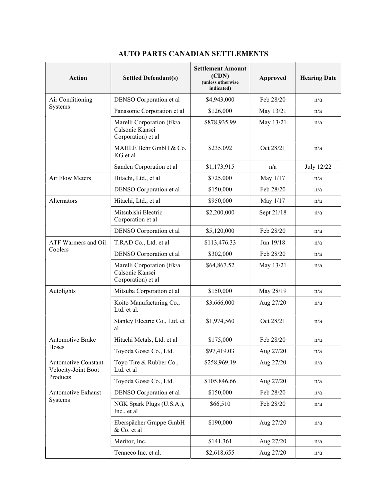| <b>Action</b>                                           | <b>Settled Defendant(s)</b>                                         | <b>Settlement Amount</b><br>(CDN)<br>(unless otherwise<br>indicated) | <b>Approved</b> | <b>Hearing Date</b> |
|---------------------------------------------------------|---------------------------------------------------------------------|----------------------------------------------------------------------|-----------------|---------------------|
| Air Conditioning                                        | DENSO Corporation et al                                             | \$4,943,000                                                          | Feb 28/20       | n/a                 |
| Systems                                                 | Panasonic Corporation et al                                         | \$126,000                                                            | May 13/21       | n/a                 |
|                                                         | Marelli Corporation (f/k/a<br>Calsonic Kansei<br>Corporation) et al | \$878,935.99                                                         | May 13/21       | n/a                 |
|                                                         | MAHLE Behr GmbH & Co.<br>KG et al                                   | \$235,092                                                            | Oct 28/21       | n/a                 |
|                                                         | Sanden Corporation et al                                            | \$1,173,915                                                          | n/a             | July 12/22          |
| Air Flow Meters                                         | Hitachi, Ltd., et al                                                | \$725,000                                                            | May 1/17        | n/a                 |
|                                                         | DENSO Corporation et al                                             | \$150,000                                                            | Feb 28/20       | n/a                 |
| Alternators                                             | Hitachi, Ltd., et al                                                | \$950,000                                                            | May 1/17        | n/a                 |
|                                                         | Mitsubishi Electric<br>Corporation et al                            | \$2,200,000                                                          | Sept 21/18      | n/a                 |
|                                                         | DENSO Corporation et al                                             | \$5,120,000                                                          | Feb 28/20       | n/a                 |
| ATF Warmers and Oil                                     | T.RAD Co., Ltd. et al                                               | \$113,476.33                                                         | Jun 19/18       | n/a                 |
| Coolers                                                 | DENSO Corporation et al                                             | \$302,000                                                            | Feb 28/20       | n/a                 |
|                                                         | Marelli Corporation (f/k/a<br>Calsonic Kansei<br>Corporation) et al | \$64,867.52                                                          | May 13/21       | n/a                 |
| Autolights                                              | Mitsuba Corporation et al                                           | \$150,000                                                            | May 28/19       | n/a                 |
|                                                         | Koito Manufacturing Co.,<br>Ltd. et al.                             | \$3,666,000                                                          | Aug 27/20       | n/a                 |
|                                                         | Stanley Electric Co., Ltd. et<br>al                                 | \$1,974,560                                                          | Oct 28/21       | n/a                 |
| Automotive Brake<br>Hoses                               | Hitachi Metals, Ltd. et al                                          | \$175,000                                                            | Feb 28/20       | n/a                 |
|                                                         | Toyoda Gosei Co., Ltd.                                              | \$97,419.03                                                          | Aug 27/20       | n/a                 |
| Automotive Constant-<br>Velocity-Joint Boot<br>Products | Toyo Tire & Rubber Co.,<br>Ltd. et al                               | \$258,969.19                                                         | Aug 27/20       | n/a                 |
|                                                         | Toyoda Gosei Co., Ltd.                                              | \$105,846.66                                                         | Aug 27/20       | n/a                 |
| Automotive Exhaust                                      | DENSO Corporation et al                                             | \$150,000                                                            | Feb 28/20       | n/a                 |
| Systems                                                 | NGK Spark Plugs (U.S.A.),<br>Inc., et al                            | \$66,510                                                             | Feb 28/20       | n/a                 |
|                                                         | Eberspächer Gruppe GmbH<br>& Co. et al                              | \$190,000                                                            | Aug 27/20       | n/a                 |
|                                                         | Meritor, Inc.                                                       | \$141,361                                                            | Aug 27/20       | n/a                 |
|                                                         | Tenneco Inc. et al.                                                 | \$2,618,655                                                          | Aug 27/20       | n/a                 |

## AUTO PARTS CANADIAN SETTLEMENTS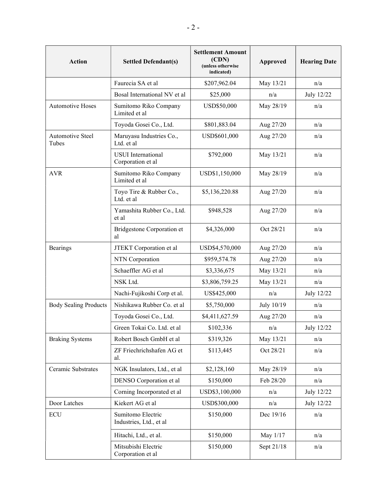| <b>Action</b>                | <b>Settled Defendant(s)</b>                    | <b>Settlement Amount</b><br>(CDN)<br>(unless otherwise<br>indicated) | Approved   | <b>Hearing Date</b> |
|------------------------------|------------------------------------------------|----------------------------------------------------------------------|------------|---------------------|
|                              | Faurecia SA et al                              | \$207,962.04                                                         | May 13/21  | n/a                 |
|                              | Bosal International NV et al                   | \$25,000                                                             | n/a        | July 12/22          |
| <b>Automotive Hoses</b>      | Sumitomo Riko Company<br>Limited et al         | USD\$50,000                                                          | May 28/19  | n/a                 |
|                              | Toyoda Gosei Co., Ltd.                         | \$801,883.04                                                         | Aug 27/20  | n/a                 |
| Automotive Steel<br>Tubes    | Maruyasu Industries Co.,<br>Ltd. et al         | USD\$601,000                                                         | Aug 27/20  | n/a                 |
|                              | <b>USUI</b> International<br>Corporation et al | \$792,000                                                            | May 13/21  | n/a                 |
| <b>AVR</b>                   | Sumitomo Riko Company<br>Limited et al         | USD\$1,150,000                                                       | May 28/19  | n/a                 |
|                              | Toyo Tire & Rubber Co.,<br>Ltd. et al          | \$5,136,220.88                                                       | Aug 27/20  | n/a                 |
|                              | Yamashita Rubber Co., Ltd.<br>et al            | \$948,528                                                            | Aug 27/20  | n/a                 |
|                              | Bridgestone Corporation et<br>al               | \$4,326,000                                                          | Oct 28/21  | n/a                 |
| Bearings                     | JTEKT Corporation et al                        | USD\$4,570,000                                                       | Aug 27/20  | n/a                 |
|                              | NTN Corporation                                | \$959,574.78                                                         | Aug 27/20  | n/a                 |
|                              | Schaeffler AG et al                            | \$3,336,675                                                          | May 13/21  | n/a                 |
|                              | NSK Ltd.                                       | \$3,806,759.25                                                       | May 13/21  | n/a                 |
|                              | Nachi-Fujikoshi Corp et al.                    | US\$425,000                                                          | n/a        | July 12/22          |
| <b>Body Sealing Products</b> | Nishikawa Rubber Co. et al                     | \$5,750,000                                                          | July 10/19 | n/a                 |
|                              | Toyoda Gosei Co., Ltd.                         | \$4,411,627.59                                                       | Aug 27/20  | n/a                 |
|                              | Green Tokai Co. Ltd. et al                     | \$102,336                                                            | n/a        | July 12/22          |
| <b>Braking Systems</b>       | Robert Bosch GmbH et al                        | \$319,326                                                            | May 13/21  | n/a                 |
|                              | ZF Friechrichshafen AG et<br>al.               | \$113,445                                                            | Oct 28/21  | n/a                 |
| Ceramic Substrates           | NGK Insulators, Ltd., et al                    | \$2,128,160                                                          | May 28/19  | n/a                 |
|                              | DENSO Corporation et al                        | \$150,000                                                            | Feb 28/20  | n/a                 |
|                              | Corning Incorporated et al                     | USD\$3,100,000                                                       | n/a        | July 12/22          |
| Door Latches                 | Kiekert AG et al                               | USD\$300,000                                                         | n/a        | July 12/22          |
| <b>ECU</b>                   | Sumitomo Electric<br>Industries, Ltd., et al   | \$150,000                                                            | Dec 19/16  | n/a                 |
|                              | Hitachi, Ltd., et al.                          | \$150,000                                                            | May 1/17   | n/a                 |
|                              | Mitsubishi Electric<br>Corporation et al       | \$150,000                                                            | Sept 21/18 | n/a                 |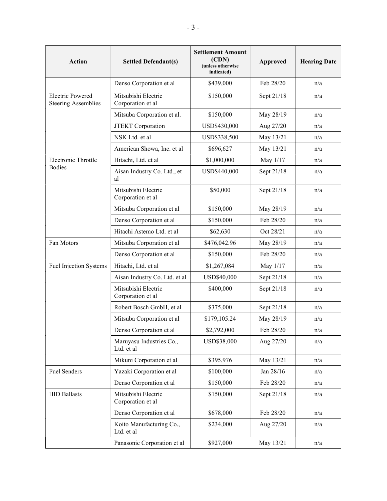| <b>Action</b>                                         | <b>Settled Defendant(s)</b>              | <b>Settlement Amount</b><br>(CDN)<br>(unless otherwise<br>indicated) | Approved   | <b>Hearing Date</b> |
|-------------------------------------------------------|------------------------------------------|----------------------------------------------------------------------|------------|---------------------|
|                                                       | Denso Corporation et al                  | \$439,000                                                            | Feb 28/20  | n/a                 |
| <b>Electric Powered</b><br><b>Steering Assemblies</b> | Mitsubishi Electric<br>Corporation et al | \$150,000                                                            | Sept 21/18 | n/a                 |
|                                                       | Mitsuba Corporation et al.               | \$150,000                                                            | May 28/19  | n/a                 |
|                                                       | JTEKT Corporation                        | USD\$430,000                                                         | Aug 27/20  | n/a                 |
|                                                       | NSK Ltd. et al                           | USD\$338,500                                                         | May 13/21  | n/a                 |
|                                                       | American Showa, Inc. et al               | \$696,627                                                            | May 13/21  | n/a                 |
| Electronic Throttle                                   | Hitachi, Ltd. et al                      | \$1,000,000                                                          | May 1/17   | n/a                 |
| <b>Bodies</b>                                         | Aisan Industry Co. Ltd., et<br>al        | USD\$440,000                                                         | Sept 21/18 | n/a                 |
|                                                       | Mitsubishi Electric<br>Corporation et al | \$50,000                                                             | Sept 21/18 | n/a                 |
|                                                       | Mitsuba Corporation et al                | \$150,000                                                            | May 28/19  | n/a                 |
|                                                       | Denso Corporation et al                  | \$150,000                                                            | Feb 28/20  | n/a                 |
|                                                       | Hitachi Astemo Ltd. et al                | \$62,630                                                             | Oct 28/21  | n/a                 |
| Fan Motors                                            | Mitsuba Corporation et al                | \$476,042.96                                                         | May 28/19  | n/a                 |
|                                                       | Denso Corporation et al                  | \$150,000                                                            | Feb 28/20  | n/a                 |
| <b>Fuel Injection Systems</b>                         | Hitachi, Ltd. et al                      | \$1,267,084                                                          | May 1/17   | n/a                 |
|                                                       | Aisan Industry Co. Ltd. et al            | USD\$40,000                                                          | Sept 21/18 | n/a                 |
|                                                       | Mitsubishi Electric<br>Corporation et al | \$400,000                                                            | Sept 21/18 | n/a                 |
|                                                       | Robert Bosch GmbH, et al                 | \$375,000                                                            | Sept 21/18 | n/a                 |
|                                                       | Mitsuba Corporation et al                | \$179,105.24                                                         | May 28/19  | n/a                 |
|                                                       | Denso Corporation et al                  | \$2,792,000                                                          | Feb 28/20  | n/a                 |
|                                                       | Maruyasu Industries Co.,<br>Ltd. et al   | USD\$38,000                                                          | Aug 27/20  | n/a                 |
|                                                       | Mikuni Corporation et al                 | \$395,976                                                            | May 13/21  | n/a                 |
| Fuel Senders                                          | Yazaki Corporation et al                 | \$100,000                                                            | Jan 28/16  | n/a                 |
|                                                       | Denso Corporation et al                  | \$150,000                                                            | Feb 28/20  | n/a                 |
| <b>HID Ballasts</b>                                   | Mitsubishi Electric<br>Corporation et al | \$150,000                                                            | Sept 21/18 | n/a                 |
|                                                       | Denso Corporation et al                  | \$678,000                                                            | Feb 28/20  | n/a                 |
|                                                       | Koito Manufacturing Co.,<br>Ltd. et al   | \$234,000                                                            | Aug 27/20  | n/a                 |
|                                                       | Panasonic Corporation et al              | \$927,000                                                            | May 13/21  | n/a                 |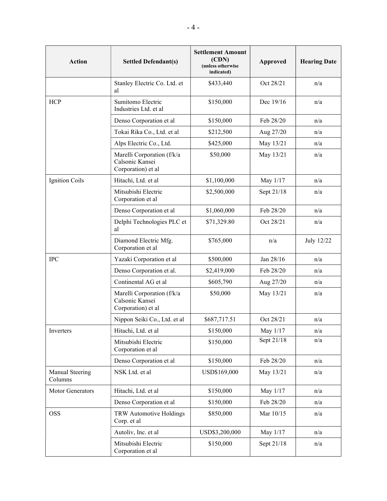| <b>Action</b>              | <b>Settled Defendant(s)</b>                                         | <b>Settlement Amount</b><br>(CDN)<br>(unless otherwise<br>indicated) | Approved     | <b>Hearing Date</b> |
|----------------------------|---------------------------------------------------------------------|----------------------------------------------------------------------|--------------|---------------------|
|                            | Stanley Electric Co. Ltd. et<br>al                                  | \$433,440                                                            | Oct 28/21    | n/a                 |
| <b>HCP</b>                 | Sumitomo Electric<br>Industries Ltd. et al                          | \$150,000                                                            | Dec 19/16    | n/a                 |
|                            | Denso Corporation et al                                             | \$150,000                                                            | Feb 28/20    | n/a                 |
|                            | Tokai Rika Co., Ltd. et al                                          | \$212,500                                                            | Aug 27/20    | n/a                 |
|                            | Alps Electric Co., Ltd.                                             | \$425,000                                                            | May 13/21    | n/a                 |
|                            | Marelli Corporation (f/k/a<br>Calsonic Kansei<br>Corporation) et al | \$50,000                                                             | May 13/21    | n/a                 |
| <b>Ignition Coils</b>      | Hitachi, Ltd. et al                                                 | \$1,100,000                                                          | May 1/17     | n/a                 |
|                            | Mitsubishi Electric<br>Corporation et al                            | \$2,500,000                                                          | Sept 21/18   | n/a                 |
|                            | Denso Corporation et al                                             | \$1,060,000                                                          | Feb 28/20    | n/a                 |
|                            | Delphi Technologies PLC et<br>al                                    | \$71,329.80                                                          | Oct 28/21    | n/a                 |
|                            | Diamond Electric Mfg.<br>Corporation et al                          | \$765,000                                                            | n/a          | July 12/22          |
| <b>IPC</b>                 | Yazaki Corporation et al                                            | \$500,000                                                            | Jan 28/16    | n/a                 |
|                            | Denso Corporation et al.                                            | \$2,419,000                                                          | Feb 28/20    | n/a                 |
|                            | Continental AG et al                                                | \$605,790                                                            | Aug 27/20    | n/a                 |
|                            | Marelli Corporation (f/k/a<br>Calsonic Kansei<br>Corporation) et al | \$50,000                                                             | May 13/21    | n/a                 |
|                            | Nippon Seiki Co., Ltd. et al                                        | \$687,717.51                                                         | Oct 28/21    | n/a                 |
| Inverters                  | Hitachi, Ltd. et al                                                 | \$150,000                                                            | May 1/17     | n/a                 |
|                            | Mitsubishi Electric<br>Corporation et al                            | \$150,000                                                            | Sept $21/18$ | n/a                 |
|                            | Denso Corporation et al                                             | \$150,000                                                            | Feb 28/20    | n/a                 |
| Manual Steering<br>Columns | NSK Ltd. et al                                                      | USD\$169,000                                                         | May 13/21    | n/a                 |
| Motor Generators           | Hitachi, Ltd. et al                                                 | \$150,000                                                            | May 1/17     | n/a                 |
|                            | Denso Corporation et al                                             | \$150,000                                                            | Feb 28/20    | n/a                 |
| <b>OSS</b>                 | TRW Automotive Holdings<br>Corp. et al                              | \$850,000                                                            | Mar 10/15    | n/a                 |
|                            | Autoliv, Inc. et al                                                 | USD\$3,200,000                                                       | May 1/17     | n/a                 |
|                            | Mitsubishi Electric<br>Corporation et al                            | \$150,000                                                            | Sept 21/18   | n/a                 |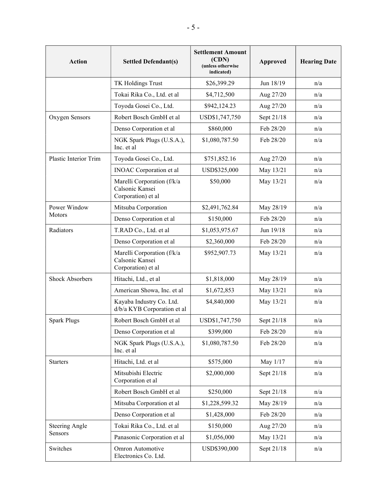| <b>Action</b>                    | <b>Settled Defendant(s)</b>                                         | <b>Settlement Amount</b><br>(CDN)<br>(unless otherwise<br>indicated) | <b>Approved</b> | <b>Hearing Date</b> |
|----------------------------------|---------------------------------------------------------------------|----------------------------------------------------------------------|-----------------|---------------------|
|                                  | TK Holdings Trust                                                   | \$26,399.29                                                          | Jun 18/19       | n/a                 |
|                                  | Tokai Rika Co., Ltd. et al                                          | \$4,712,500                                                          | Aug 27/20       | n/a                 |
|                                  | Toyoda Gosei Co., Ltd.                                              | \$942,124.23                                                         | Aug 27/20       | n/a                 |
| Oxygen Sensors                   | Robert Bosch GmbH et al                                             | USD\$1,747,750                                                       | Sept 21/18      | n/a                 |
|                                  | Denso Corporation et al                                             | \$860,000                                                            | Feb 28/20       | n/a                 |
|                                  | NGK Spark Plugs (U.S.A.),<br>Inc. et al                             | \$1,080,787.50                                                       | Feb 28/20       | n/a                 |
| Plastic Interior Trim            | Toyoda Gosei Co., Ltd.                                              | \$751,852.16                                                         | Aug 27/20       | n/a                 |
|                                  | <b>INOAC</b> Corporation et al                                      | USD\$325,000                                                         | May 13/21       | n/a                 |
|                                  | Marelli Corporation (f/k/a<br>Calsonic Kansei<br>Corporation) et al | \$50,000                                                             | May 13/21       | n/a                 |
| Power Window                     | Mitsuba Corporation                                                 | \$2,491,762.84                                                       | May 28/19       | n/a                 |
| Motors                           | Denso Corporation et al                                             | \$150,000                                                            | Feb 28/20       | n/a                 |
| Radiators                        | T.RAD Co., Ltd. et al                                               | \$1,053,975.67                                                       | Jun 19/18       | n/a                 |
|                                  | Denso Corporation et al                                             | \$2,360,000                                                          | Feb 28/20       | n/a                 |
|                                  | Marelli Corporation (f/k/a<br>Calsonic Kansei<br>Corporation) et al | \$952,907.73                                                         | May 13/21       | n/a                 |
| <b>Shock Absorbers</b>           | Hitachi, Ltd., et al                                                | \$1,818,000                                                          | May 28/19       | n/a                 |
|                                  | American Showa, Inc. et al                                          | \$1,672,853                                                          | May 13/21       | n/a                 |
|                                  | Kayaba Industry Co. Ltd.<br>d/b/a KYB Corporation et al             | \$4,840,000                                                          | May 13/21       | n/a                 |
| <b>Spark Plugs</b>               | Robert Bosch GmbH et al                                             | USD\$1,747,750                                                       | Sept 21/18      | n/a                 |
|                                  | Denso Corporation et al                                             | \$399,000                                                            | Feb 28/20       | n/a                 |
|                                  | NGK Spark Plugs (U.S.A.),<br>Inc. et al                             | \$1,080,787.50                                                       | Feb 28/20       | n/a                 |
| <b>Starters</b>                  | Hitachi, Ltd. et al                                                 | \$575,000                                                            | May 1/17        | n/a                 |
|                                  | Mitsubishi Electric<br>Corporation et al                            | \$2,000,000                                                          | Sept 21/18      | n/a                 |
|                                  | Robert Bosch GmbH et al                                             | \$250,000                                                            | Sept 21/18      | n/a                 |
|                                  | Mitsuba Corporation et al                                           | \$1,228,599.32                                                       | May 28/19       | n/a                 |
|                                  | Denso Corporation et al                                             | \$1,428,000                                                          | Feb 28/20       | n/a                 |
| <b>Steering Angle</b><br>Sensors | Tokai Rika Co., Ltd. et al                                          | \$150,000                                                            | Aug 27/20       | n/a                 |
|                                  | Panasonic Corporation et al                                         | \$1,056,000                                                          | May 13/21       | n/a                 |
| Switches                         | Omron Automotive<br>Electronics Co. Ltd.                            | USD\$390,000                                                         | Sept 21/18      | n/a                 |